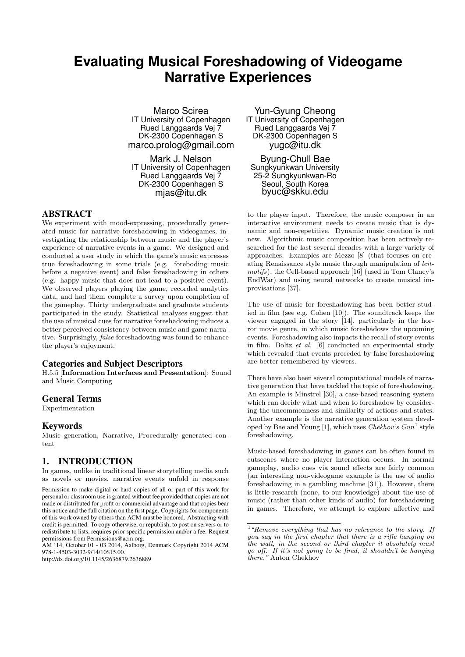# **Evaluating Musical Foreshadowing of Videogame Narrative Experiences**

Marco Scirea IT University of Copenhagen Rued Langgaards Vej 7 DK-2300 Copenhagen S marco.prolog@gmail.com

Mark J. Nelson IT University of Copenhagen Rued Langgaards Vej 7 DK-2300 Copenhagen S mjas@itu.dk

#### ABSTRACT

We experiment with mood-expressing, procedurally generated music for narrative foreshadowing in videogames, investigating the relationship between music and the player's experience of narrative events in a game. We designed and conducted a user study in which the game's music expresses true foreshadowing in some trials (e.g. foreboding music before a negative event) and false foreshadowing in others (e.g. happy music that does not lead to a positive event). We observed players playing the game, recorded analytics data, and had them complete a survey upon completion of the gameplay. Thirty undergraduate and graduate students participated in the study. Statistical analyses suggest that the use of musical cues for narrative foreshadowing induces a better perceived consistency between music and game narrative. Surprisingly, false foreshadowing was found to enhance the player's enjoyment.

#### Categories and Subject Descriptors

H.5.5 [Information Interfaces and Presentation]: Sound and Music Computing

#### General Terms

Experimentation

#### Keywords

Music generation, Narrative, Procedurally generated content

#### 1. INTRODUCTION

In games, unlike in traditional linear storytelling media such as novels or movies, narrative events unfold in response

Permission to make digital or hard copies of all or part of this work for personal or classroom use is granted without fee provided that copies are not made or distributed for profit or commercial advantage and that copies bear this notice and the full citation on the first page. Copyrights for components of this work owned by others than ACM must be honored. Abstracting with credit is permitted. To copy otherwise, or republish, to post on servers or to redistribute to lists, requires prior specific permission and/or a fee. Request permissions from Permissions@acm.org.

http://dx.doi.org/10.1145/2636879.2636889

Yun-Gyung Cheong IT University of Copenhagen Rued Langgaards Vej 7 DK-2300 Copenhagen S yugc@itu.dk

Byung-Chull Bae Sungkyunkwan University 25-2 Sungkyunkwan-Ro Seoul, South Korea byuc@skku.edu

to the player input. Therefore, the music composer in an interactive environment needs to create music that is dynamic and non-repetitive. Dynamic music creation is not new. Algorithmic music composition has been actively researched for the last several decades with a large variety of approaches. Examples are Mezzo [8] (that focuses on creating Renaissance style music through manipulation of leitmotifs), the Cell-based approach [16] (used in Tom Clancy's EndWar) and using neural networks to create musical improvisations [37].

The use of music for foreshadowing has been better studied in film (see e.g. Cohen [10]). The soundtrack keeps the viewer engaged in the story [14], particularly in the horror movie genre, in which music foreshadows the upcoming events. Foreshadowing also impacts the recall of story events in film. Boltz et al. [6] conducted an experimental study which revealed that events preceded by false foreshadowing are better remembered by viewers.

There have also been several computational models of narrative generation that have tackled the topic of foreshadowing. An example is Minstrel [30], a case-based reasoning system which can decide what and when to foreshadow by considering the uncommonness and similarity of actions and states. Another example is the narrative generation system developed by Bae and Young [1], which uses *Chekhov's Gun*<sup>1</sup> style foreshadowing.

Music-based foreshadowing in games can be often found in cutscenes where no player interaction occurs. In normal gameplay, audio cues via sound effects are fairly common (an interesting non-videogame example is the use of audio foreshadowing in a gambling machine [31]). However, there is little research (none, to our knowledge) about the use of music (rather than other kinds of audio) for foreshadowing in games. Therefore, we attempt to explore affective and

AM '14, October 01 - 03 2014, Aalborg, Denmark Copyright 2014 ACM 978-1-4503-3032-9/14/10\$15.00.

 $1$  "Remove everything that has no relevance to the story. If you say in the first chapter that there is a rifle hanging on the wall, in the second or third chapter it absolutely must go off. If it's not going to be fired, it shouldn't be hanging there." Anton Chekhov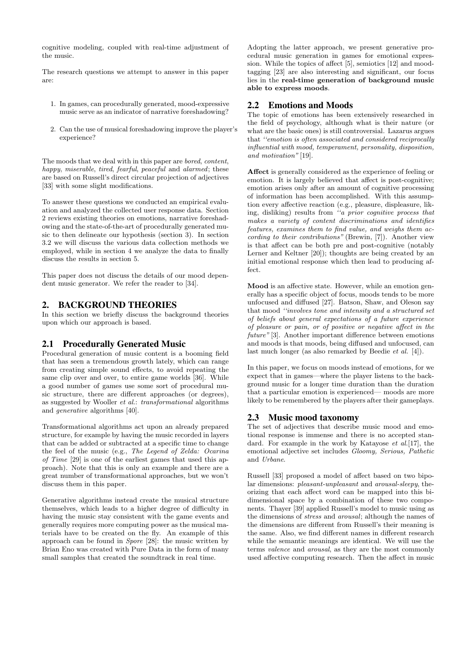cognitive modeling, coupled with real-time adjustment of the music.

The research questions we attempt to answer in this paper are:

- 1. In games, can procedurally generated, mood-expressive music serve as an indicator of narrative foreshadowing?
- 2. Can the use of musical foreshadowing improve the player's experience?

The moods that we deal with in this paper are bored, content, happy, miserable, tired, fearful, peaceful and alarmed; these are based on Russell's direct circular projection of adjectives [33] with some slight modifications.

To answer these questions we conducted an empirical evaluation and analyzed the collected user response data. Section 2 reviews existing theories on emotions, narrative foreshadowing and the state-of-the-art of procedurally generated music to then delineate our hypothesis (section 3). In section 3.2 we will discuss the various data collection methods we employed, while in section 4 we analyze the data to finally discuss the results in section 5.

This paper does not discuss the details of our mood dependent music generator. We refer the reader to [34].

### 2. BACKGROUND THEORIES

In this section we briefly discuss the background theories upon which our approach is based.

# 2.1 Procedurally Generated Music

Procedural generation of music content is a booming field that has seen a tremendous growth lately, which can range from creating simple sound effects, to avoid repeating the same clip over and over, to entire game worlds [36]. While a good number of games use some sort of procedural music structure, there are different approaches (or degrees), as suggested by Wooller et al.: transformational algorithms and generative algorithms [40].

Transformational algorithms act upon an already prepared structure, for example by having the music recorded in layers that can be added or subtracted at a specific time to change the feel of the music (e.g., The Legend of Zelda: Ocarina of Time [29] is one of the earliest games that used this approach). Note that this is only an example and there are a great number of transformational approaches, but we won't discuss them in this paper.

Generative algorithms instead create the musical structure themselves, which leads to a higher degree of difficulty in having the music stay consistent with the game events and generally requires more computing power as the musical materials have to be created on the fly. An example of this approach can be found in Spore [28]: the music written by Brian Eno was created with Pure Data in the form of many small samples that created the soundtrack in real time.

Adopting the latter approach, we present generative procedural music generation in games for emotional expression. While the topics of affect [5], semiotics [12] and moodtagging [23] are also interesting and significant, our focus lies in the real-time generation of background music able to express moods.

# 2.2 Emotions and Moods

The topic of emotions has been extensively researched in the field of psychology, although what is their nature (or what are the basic ones) is still controversial. Lazarus argues that ''emotion is often associated and considered reciprocally influential with mood, temperament, personality, disposition, and motivation" [19].

Affect is generally considered as the experience of feeling or emotion. It is largely believed that affect is post-cognitive; emotion arises only after an amount of cognitive processing of information has been accomplished. With this assumption every affective reaction (e.g., pleasure, displeasure, liking, disliking) results from  $a$  prior cognitive process that makes a variety of content discriminations and identifies features, examines them to find value, and weighs them according to their contributions" (Brewin, [7]). Another view is that affect can be both pre and post-cognitive (notably Lerner and Keltner [20]); thoughts are being created by an initial emotional response which then lead to producing affect.

Mood is an affective state. However, while an emotion generally has a specific object of focus, moods tends to be more unfocused and diffused [27]. Batson, Shaw, and Oleson say that mood ''involves tone and intensity and a structured set of beliefs about general expectations of a future experience of pleasure or pain, or of positive or negative affect in the future" [3]. Another important difference between emotions and moods is that moods, being diffused and unfocused, can last much longer (as also remarked by Beedie et al. [4]).

In this paper, we focus on moods instead of emotions, for we expect that in games—where the player listens to the background music for a longer time duration than the duration that a particular emotion is experienced— moods are more likely to be remembered by the players after their gameplays.

# 2.3 Music mood taxonomy

The set of adjectives that describe music mood and emotional response is immense and there is no accepted standard. For example in the work by Katayose  $et al.[17]$ , the emotional adjective set includes Gloomy, Serious, Pathetic and Urbane.

Russell [33] proposed a model of affect based on two bipolar dimensions: pleasant-unpleasant and arousal-sleepy, theorizing that each affect word can be mapped into this bidimensional space by a combination of these two components. Thayer [39] applied Russell's model to music using as the dimensions of stress and arousal; although the names of the dimensions are different from Russell's their meaning is the same. Also, we find different names in different research while the semantic meanings are identical. We will use the terms valence and arousal, as they are the most commonly used affective computing research. Then the affect in music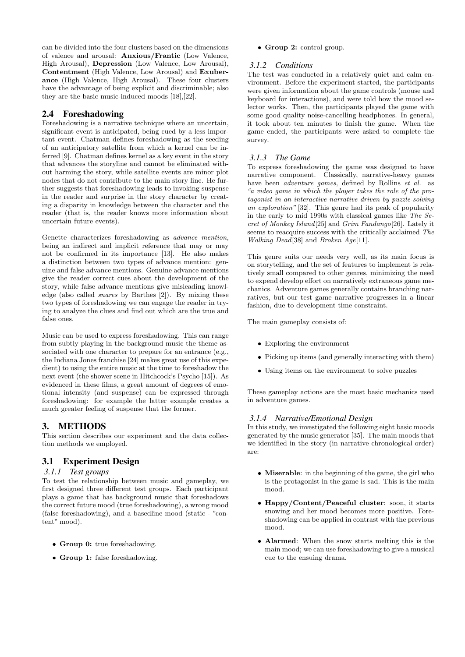can be divided into the four clusters based on the dimensions of valence and arousal: Anxious/Frantic (Low Valence, High Arousal), Depression (Low Valence, Low Arousal), Contentment (High Valence, Low Arousal) and Exuberance (High Valence, High Arousal). These four clusters have the advantage of being explicit and discriminable; also they are the basic music-induced moods [18],[22].

# 2.4 Foreshadowing

Foreshadowing is a narrative technique where an uncertain, significant event is anticipated, being cued by a less important event. Chatman defines foreshadowing as the seeding of an anticipatory satellite from which a kernel can be inferred [9]. Chatman defines kernel as a key event in the story that advances the storyline and cannot be eliminated without harming the story, while satellite events are minor plot nodes that do not contribute to the main story line. He further suggests that foreshadowing leads to invoking suspense in the reader and surprise in the story character by creating a disparity in knowledge between the character and the reader (that is, the reader knows more information about uncertain future events).

Genette characterizes foreshadowing as advance mention, being an indirect and implicit reference that may or may not be confirmed in its importance [13]. He also makes a distinction between two types of advance mention: genuine and false advance mentions. Genuine advance mentions give the reader correct cues about the development of the story, while false advance mentions give misleading knowledge (also called snares by Barthes [2]). By mixing these two types of foreshadowing we can engage the reader in trying to analyze the clues and find out which are the true and false ones.

Music can be used to express foreshadowing. This can range from subtly playing in the background music the theme associated with one character to prepare for an entrance (e.g., the Indiana Jones franchise [24] makes great use of this expedient) to using the entire music at the time to foreshadow the next event (the shower scene in Hitchcock's Psycho [15]). As evidenced in these films, a great amount of degrees of emotional intensity (and suspense) can be expressed through foreshadowing: for example the latter example creates a much greater feeling of suspense that the former.

# 3. METHODS

This section describes our experiment and the data collection methods we employed.

# 3.1 Experiment Design

#### *3.1.1 Test groups*

To test the relationship between music and gameplay, we first designed three different test groups. Each participant plays a game that has background music that foreshadows the correct future mood (true foreshadowing), a wrong mood (false foreshadowing), and a basedline mood (static - "content" mood).

- Group 0: true foreshadowing.
- Group 1: false foreshadowing.

• Group 2: control group.

### *3.1.2 Conditions*

The test was conducted in a relatively quiet and calm environment. Before the experiment started, the participants were given information about the game controls (mouse and keyboard for interactions), and were told how the mood selector works. Then, the participants played the game with some good quality noise-cancelling headphones. In general, it took about ten minutes to finish the game. When the game ended, the participants were asked to complete the survey.

## *3.1.3 The Game*

To express foreshadowing the game was designed to have narrative component. Classically, narrative-heavy games have been *adventure games*, defined by Rollins *et al.* as "a video game in which the player takes the role of the protagonist in an interactive narrative driven by puzzle-solving an exploration" [32]. This genre had its peak of popularity in the early to mid 1990s with classical games like The Secret of Monkey Island[25] and Grim Fandango[26]. Lately it seems to reacquire success with the critically acclaimed The Walking Dead<sup>[38]</sup> and Broken Age<sup>[11]</sup>.

This genre suits our needs very well, as its main focus is on storytelling, and the set of features to implement is relatively small compared to other genres, minimizing the need to expend develop effort on narratively extraneous game mechanics. Adventure games generally contains branching narratives, but our test game narrative progresses in a linear fashion, due to development time constraint.

The main gameplay consists of:

- Exploring the environment
- Picking up items (and generally interacting with them)
- Using items on the environment to solve puzzles

These gameplay actions are the most basic mechanics used in adventure games.

#### *3.1.4 Narrative/Emotional Design*

In this study, we investigated the following eight basic moods generated by the music generator [35]. The main moods that we identified in the story (in narrative chronological order) are:

- Miserable: in the beginning of the game, the girl who is the protagonist in the game is sad. This is the main mood.
- Happy/Content/Peaceful cluster: soon, it starts snowing and her mood becomes more positive. Foreshadowing can be applied in contrast with the previous mood.
- Alarmed: When the snow starts melting this is the main mood; we can use foreshadowing to give a musical cue to the ensuing drama.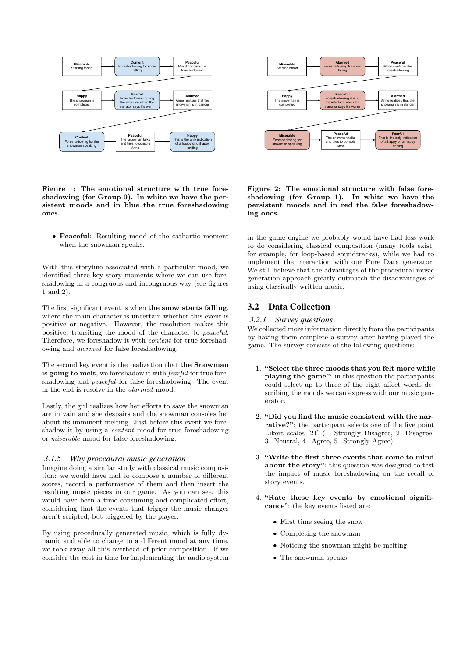

Figure 1: The emotional structure with true foreshadowing (for Group 0). In white we have the persistent moods and in blue the true foreshadowing ones.

• Peaceful: Resulting mood of the cathartic moment when the snowman speaks.

With this storyline associated with a particular mood, we identified three key story moments where we can use foreshadowing in a congruous and incongruous way (see figures 1 and 2).

The first significant event is when the snow starts falling, where the main character is uncertain whether this event is positive or negative. However, the resolution makes this positive, transiting the mood of the character to peaceful. Therefore, we foreshadow it with content for true foreshadowing and alarmed for false foreshadowing.

The second key event is the realization that the Snowman is going to melt, we foreshadow it with *fearful* for true foreshadowing and peaceful for false foreshadowing. The event in the end is resolve in the alarmed mood.

Lastly, the girl realizes how her efforts to save the snowman are in vain and she despairs and the snowman consoles her about its imminent melting. Just before this event we foreshadow it by using a content mood for true foreshadowing or miserable mood for false foreshadowing.

#### *3.1.5 Why procedural music generation*

Imagine doing a similar study with classical music composition: we would have had to compose a number of different scores, record a performance of them and then insert the resulting music pieces in our game. As you can see, this would have been a time consuming and complicated effort, considering that the events that trigger the music changes aren't scripted, but triggered by the player.

By using procedurally generated music, which is fully dynamic and able to change to a different mood at any time, we took away all this overhead of prior composition. If we consider the cost in time for implementing the audio system



Figure 2: The emotional structure with false foreshadowing (for Group 1). In white we have the persistent moods and in red the false foreshadowing ones.

in the game engine we probably would have had less work to do considering classical composition (many tools exist, for example, for loop-based soundtracks), while we had to implement the interaction with our Pure Data generator. We still believe that the advantages of the procedural music generation approach greatly outmatch the disadvantages of using classically written music.

# 3.2 Data Collection

#### *3.2.1 Survey questions*

We collected more information directly from the participants by having them complete a survey after having played the game. The survey consists of the following questions:

- 1. "Select the three moods that you felt more while playing the game": in this question the participants could select up to three of the eight affect words describing the moods we can express with our music generator.
- 2. "Did you find the music consistent with the narrative?": the participant selects one of the five point Likert scales [21] (1=Strongly Disagree, 2=Disagree, 3=Neutral, 4=Agree, 5=Strongly Agree).
- 3. "Write the first three events that come to mind about the story": this question was designed to test the impact of music foreshadowing on the recall of story events.
- 4. "Rate these key events by emotional significance": the key events listed are:
	- First time seeing the snow
	- Completing the snowman
	- Noticing the snowman might be melting
	- The snowman speaks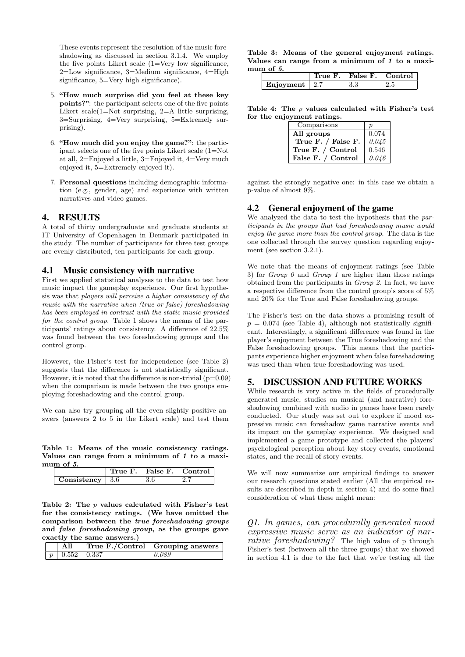These events represent the resolution of the music foreshadowing as discussed in section 3.1.4. We employ the five points Likert scale  $(1=V)$ ery low significance,  $2$ =Low significance,  $3$ =Medium significance,  $4$ =High significance, 5=Very high significance).

- 5. "How much surprise did you feel at these key points?": the participant selects one of the five points Likert scale $(1=Not$  surprising,  $2=A$  little surprising, 3=Surprising, 4=Very surprising, 5=Extremely surprising).
- 6. "How much did you enjoy the game?": the participant selects one of the five points Likert scale (1=Not at all, 2=Enjoyed a little, 3=Enjoyed it, 4=Very much enjoyed it, 5=Extremely enjoyed it).
- 7. Personal questions including demographic information (e.g., gender, age) and experience with written narratives and video games.

# 4. RESULTS

A total of thirty undergraduate and graduate students at IT University of Copenhagen in Denmark participated in the study. The number of participants for three test groups are evenly distributed, ten participants for each group.

#### 4.1 Music consistency with narrative

First we applied statistical analyses to the data to test how music impact the gameplay experience. Our first hypothesis was that players will perceive a higher consistency of the music with the narrative when (true or false) foreshadowing has been employed in contrast with the static music provided for the control group. Table 1 shows the means of the participants' ratings about consistency. A difference of 22.5% was found between the two foreshadowing groups and the control group.

However, the Fisher's test for independence (see Table 2) suggests that the difference is not statistically significant. However, it is noted that the difference is non-trivial  $(p=0.09)$ when the comparison is made between the two groups employing foreshadowing and the control group.

We can also try grouping all the even slightly positive answers (answers 2 to 5 in the Likert scale) and test them

Table 1: Means of the music consistency ratings. Values can range from a minimum of 1 to a maximum of 5.

|                                 | True F. False F. Control |  |
|---------------------------------|--------------------------|--|
| Consistency $\vert 3.6 \rangle$ |                          |  |

Table 2: The  $p$  values calculated with Fisher's test for the consistency ratings. (We have omitted the comparison between the true foreshadowing groups and false foreshadowing group, as the groups gave exactly the same answers.)

| - A 11             | True F./Control Grouping answers |
|--------------------|----------------------------------|
| $ p 0.552 \t0.337$ | 0.089                            |

Table 3: Means of the general enjoyment ratings. Values can range from a minimum of 1 to a maximum of 5.

|                   | True F. False F. Control |  |
|-------------------|--------------------------|--|
| Enjoyment   $2.7$ |                          |  |

Table 4: The  $p$  values calculated with Fisher's test for the enjoyment ratings.

| Comparisons        | $\boldsymbol{p}$ |
|--------------------|------------------|
| All groups         | 0.074            |
| True F. / False F. | 0.045            |
| True F. / Control  | 0.546            |
| False F. / Control | 0.046            |

against the strongly negative one: in this case we obtain a p-value of almost 9%.

## 4.2 General enjoyment of the game

We analyzed the data to test the hypothesis that the participants in the groups that had foreshadowing music would enjoy the game more than the control group. The data is the one collected through the survey question regarding enjoyment (see section 3.2.1).

We note that the means of enjoyment ratings (see Table 3) for *Group*  $\theta$  and *Group*  $\theta$  are higher than those ratings obtained from the participants in Group 2. In fact, we have a respective difference from the control group's score of 5% and 20% for the True and False foreshadowing groups.

The Fisher's test on the data shows a promising result of  $p = 0.074$  (see Table 4), although not statistically significant. Interestingly, a significant difference was found in the player's enjoyment between the True foreshadowing and the False foreshadowing groups. This means that the participants experience higher enjoyment when false foreshadowing was used than when true foreshadowing was used.

#### 5. DISCUSSION AND FUTURE WORKS

While research is very active in the fields of procedurally generated music, studies on musical (and narrative) foreshadowing combined with audio in games have been rarely conducted. Our study was set out to explore if mood expressive music can foreshadow game narrative events and its impact on the gameplay experience. We designed and implemented a game prototype and collected the players' psychological perception about key story events, emotional states, and the recall of story events.

We will now summarize our empirical findings to answer our research questions stated earlier (All the empirical results are described in depth in section 4) and do some final consideration of what these might mean:

*Q1.* In games, can procedurally generated mood expressive music serve as an indicator of narrative foreshadowing? The high value of p through Fisher's test (between all the three groups) that we showed in section 4.1 is due to the fact that we're testing all the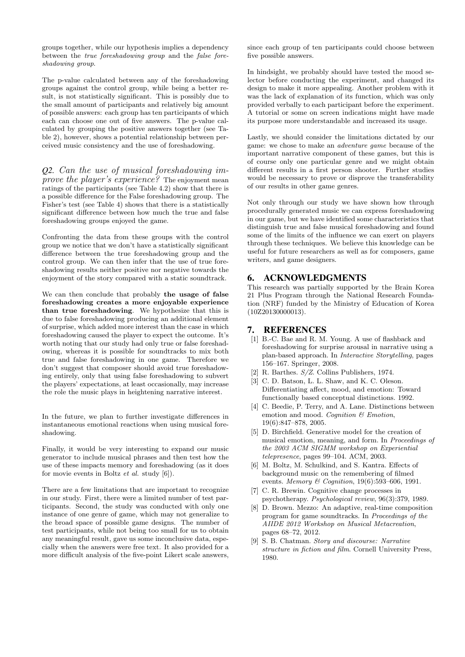groups together, while our hypothesis implies a dependency between the true foreshadowing group and the false foreshadowing group.

The p-value calculated between any of the foreshadowing groups against the control group, while being a better result, is not statistically significant. This is possibly due to the small amount of participants and relatively big amount of possible answers: each group has ten participants of which each can choose one out of five answers. The p-value calculated by grouping the positive answers together (see Table 2), however, shows a potential relationship between perceived music consistency and the use of foreshadowing.

*Q2.* Can the use of musical foreshadowing improve the player's experience? The enjoyment mean ratings of the participants (see Table 4.2) show that there is a possible difference for the False foreshadowing group. The Fisher's test (see Table 4) shows that there is a statistically significant difference between how much the true and false foreshadowing groups enjoyed the game.

Confronting the data from these groups with the control group we notice that we don't have a statistically significant difference between the true foreshadowing group and the control group. We can then infer that the use of true foreshadowing results neither positive nor negative towards the enjoyment of the story compared with a static soundtrack.

We can then conclude that probably the usage of false foreshadowing creates a more enjoyable experience than true foreshadowing. We hypothesize that this is due to false foreshadowing producing an additional element of surprise, which added more interest than the case in which foreshadowing caused the player to expect the outcome. It's worth noting that our study had only true or false foreshadowing, whereas it is possible for soundtracks to mix both true and false foreshadowing in one game. Therefore we don't suggest that composer should avoid true foreshadowing entirely, only that using false foreshadowing to subvert the players' expectations, at least occasionally, may increase the role the music plays in heightening narrative interest.

In the future, we plan to further investigate differences in instantaneous emotional reactions when using musical foreshadowing.

Finally, it would be very interesting to expand our music generator to include musical phrases and then test how the use of these impacts memory and foreshadowing (as it does for movie events in Boltz  $et$  al. study [6]).

There are a few limitations that are important to recognize in our study. First, there were a limited number of test participants. Second, the study was conducted with only one instance of one genre of game, which may not generalize to the broad space of possible game designs. The number of test participants, while not being too small for us to obtain any meaningful result, gave us some inconclusive data, especially when the answers were free text. It also provided for a more difficult analysis of the five-point Likert scale answers, since each group of ten participants could choose between five possible answers.

In hindsight, we probably should have tested the mood selector before conducting the experiment, and changed its design to make it more appealing. Another problem with it was the lack of explanation of its function, which was only provided verbally to each participant before the experiment. A tutorial or some on screen indications might have made its purpose more understandable and increased its usage.

Lastly, we should consider the limitations dictated by our game: we chose to make an adventure game because of the important narrative component of these games, but this is of course only one particular genre and we might obtain different results in a first person shooter. Further studies would be necessary to prove or disprove the transferability of our results in other game genres.

Not only through our study we have shown how through procedurally generated music we can express foreshadowing in our game, but we have identified some characteristics that distinguish true and false musical foreshadowing and found some of the limits of the influence we can exert on players through these techniques. We believe this knowledge can be useful for future researchers as well as for composers, game writers, and game designers.

#### 6. ACKNOWLEDGMENTS

This research was partially supported by the Brain Korea 21 Plus Program through the National Research Foundation (NRF) funded by the Ministry of Education of Korea (10Z20130000013).

#### 7. REFERENCES

- [1] B.-C. Bae and R. M. Young. A use of flashback and foreshadowing for surprise arousal in narrative using a plan-based approach. In Interactive Storytelling, pages 156–167. Springer, 2008.
- [2] R. Barthes. S/Z. Collins Publishers, 1974.
- [3] C. D. Batson, L. L. Shaw, and K. C. Oleson. Differentiating affect, mood, and emotion: Toward functionally based conceptual distinctions. 1992.
- [4] C. Beedie, P. Terry, and A. Lane. Distinctions between emotion and mood. Cognition  $\mathcal B$  Emotion, 19(6):847–878, 2005.
- [5] D. Birchfield. Generative model for the creation of musical emotion, meaning, and form. In Proceedings of the 2003 ACM SIGMM workshop on Experiential telepresence, pages 99–104. ACM, 2003.
- [6] M. Boltz, M. Schulkind, and S. Kantra. Effects of background music on the remembering of filmed events. Memory & Cognition, 19(6):593–606, 1991.
- [7] C. R. Brewin. Cognitive change processes in psychotherapy. Psychological review, 96(3):379, 1989.
- [8] D. Brown. Mezzo: An adaptive, real-time composition program for game soundtracks. In Proceedings of the AIIDE 2012 Workshop on Musical Metacreation, pages 68–72, 2012.
- [9] S. B. Chatman. Story and discourse: Narrative structure in fiction and film. Cornell University Press, 1980.